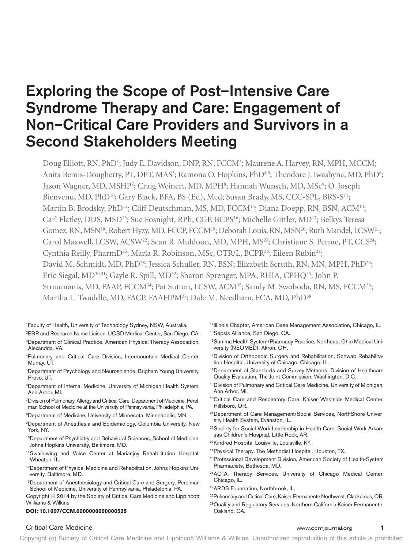# Exploring the Scope of Post–Intensive Care Syndrome Therapy and Care: Engagement of Non–Critical Care Providers and Survivors in a Second Stakeholders Meeting

Doug Elliott, RN, PhD<sup>1</sup>; Judy E. Davidson, DNP, RN, FCCM<sup>2</sup>; Maurene A. Harvey, RN, MPH, MCCM; Anita Bemis-Dougherty, PT, DPT, MAS<sup>3</sup>; Ramona O. Hopkins, PhD<sup>4,5</sup>; Theodore J. Iwashyna, MD, PhD<sup>6</sup>; Jason Wagner, MD, MSHP<sup>7</sup>; Craig Weinert, MD, MPH<sup>8</sup>; Hannah Wunsch, MD, MSc<sup>9</sup>; O. Joseph Bienvenu, MD, PhD<sup>10</sup>; Gary Black, BFA, BS (Ed), Med; Susan Brady, MS, CCC-SPL, BRS-S<sup>11</sup>; Martin B. Brodsky, PhD<sup>12</sup>; Cliff Deutschman, MS, MD, FCCM<sup>13</sup>; Diana Doepp, RN, BSN, ACM<sup>14</sup>; Carl Flatley, DDS, MSD<sup>15</sup>; Sue Fosnight, RPh, CGP, BCPS<sup>16</sup>; Michelle Gittler, MD<sup>17</sup>; Belkys Teresa Gomez, RN, MSN<sup>18</sup>; Robert Hyzy, MD, FCCP, FCCM<sup>19</sup>; Deborah Louis, RN, MSN<sup>20</sup>; Ruth Mandel, LCSW<sup>21</sup>; Carol Maxwell, LCSW, ACSW<sup>22</sup>; Sean R. Muldoon, MD, MPH, MS<sup>23</sup>; Christiane S. Perme, PT, CCS<sup>24</sup>; Cynthia Reilly, PharmD<sup>25</sup>; Marla R. Robinson, MSc, OTR/L, BCPR<sup>26</sup>; Eileen Rubin<sup>27</sup>; David M. Schmidt, MD, PhD<sup>28</sup>; Jessica Schuller, RN, BSN; Elizabeth Scruth, RN, MN, MPH, PhD<sup>29</sup>; Eric Siegal, MD<sup>30,31</sup>; Gayle R. Spill, MD<sup>32</sup>; Sharon Sprenger, MPA, RHIA, CPHQ<sup>33</sup>; John P. Straumanis, MD, FAAP, FCCM<sup>34</sup>; Pat Sutton, LCSW, ACM<sup>35</sup>; Sandy M. Swoboda, RN, MS, FCCM<sup>36</sup>; Martha L. Twaddle, MD, FACP, FAAHPM<sup>37</sup>; Dale M. Needham, FCA, MD, PhD<sup>38</sup>

<sup>1</sup>Faculty of Health, University of Technology Sydney, NSW, Australia. 2EBP and Research Nurse Liaison, UCSD Medical Center, San Diego, CA.

3Department of Clinical Practice, American Physical Therapy Association, Alexandria, VA.

- 4Pulmonary and Critical Care Division, Intermountain Medical Center, Murray, UT.
- 5Department of Psychology and Neuroscience, Brigham Young University, Provo, UT.
- <sup>6</sup>Department of Internal Medicine, University of Michigan Health System, Ann Arbor, MI.
- 7 Division of Pulmonary, Allergy and Critical Care, Department of Medicine, Perelman School of Medicine at the University of Pennsylvania, Philadelphia, PA.
- 8Department of Medicine, University of Minnesota, Minneapolis, MN.
- 9Department of Anesthesia and Epidemiology, Columbia University, New York, NY.
- <sup>10</sup>Department of Psychiatry and Behavioral Sciences, School of Medicine, Johns Hopkins University, Baltimore, MD.
- 11Swallowing and Voice Center at Marianjoy Rehabilitation Hospital, Wheaton, IL.
- <sup>12</sup>Department of Physical Medicine and Rehabilitation, Johns Hopkins University, Baltimore, MD.
- <sup>13</sup>Department of Anesthesiology and Critical Care and Surgery, Perelman School of Medicine, University of Pennsylvania, Philadelphia, PA.

Copyright © 2014 by the Society of Critical Care Medicine and Lippincott Williams & Wilkins

#### **DOI: 10.1097/CCM.0000000000000525**

- <sup>14</sup>Illinois Chapter, American Case Management Association, Chicago, IL. 15Sepsis Alliance, San Diego, CA.
- 16Summa Health System/Pharmacy Practice, Northeast Ohio Medical University (NEOMED), Akron, OH.
- <sup>17</sup>Division of Orthopedic Surgery and Rehabilitation, Schwab Rehabilitation Hospital, University of Chicago, Chicago, IL.
- <sup>18</sup>Department of Standards and Survey Methods, Division of Healthcare Quality Evaluation, The Joint Commission, Washington, D.C.
- <sup>19</sup>Division of Pulmonary and Critical Care Medicine, University of Michigan, Ann Arbor, MI.
- <sup>20</sup>Critical Care and Respiratory Care, Kaiser Westside Medical Center, Hillsboro, OR.
- 21Department of Care Management/Social Services, NorthShore University Health System, Evanston, IL.
- <sup>22</sup>Society for Social Work Leadership in Health Care, Social Work Arkansas Children's Hospital, Little Rock, AR.
- 23Kindred Hospital Louisville, Louisville, KY.
- <sup>24</sup>Physical Therapy, The Methodist Hospital, Houston, TX.
- <sup>25</sup>Professional Development Division, American Society of Health-System Pharmacists, Bethesda, MD.
- <sup>26</sup>AOTA, Therapy Services, University of Chicago Medical Center, Chicago, IL.
- 27ARDS Foundation, Northbrook, IL.
- <sup>28</sup>Pulmonary and Critical Care, Kaiser Permanente Northwest, Clackamus, OR.
- <sup>29</sup> Quality and Regulatory Services, Northern California Kaiser Permanente, Oakland, CA.

#### Critical Care Medicine www.ccmjournal.org **1**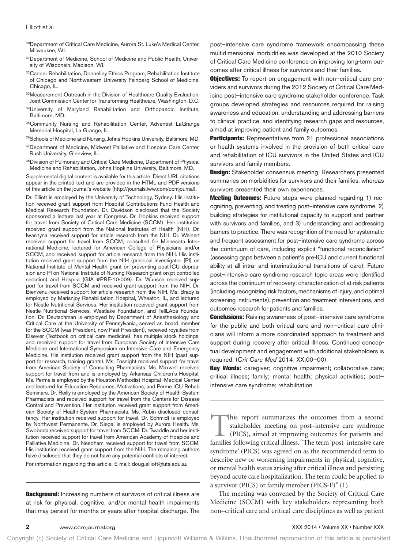- 30 Department of Critical Care Medicine, Aurora St. Luke's Medical Center, Milwaukee, WI.
- <sup>31</sup>Department of Medicine, School of Medicine and Public Health, University of Wisconsin, Madison, WI.
- 32 Cancer Rehabilitation, Donnelley Ethics Program, Rehabilitation Institute of Chicago and Northwestern University Feinberg School of Medicine, Chicago, IL.
- 33Measurement Outreach in the Division of Healthcare Quality Evaluation, Joint Commission Center for Transforming Healthcare, Washington, D.C.
- 34University of Maryland Rehabilitation and Orthopaedic Institute, Baltimore, MD.
- <sup>35</sup>Community Nursing and Rehabilitation Center, Adventist LaGrange Memorial Hospital, La Grange, IL.
- 36Schools of Medicine and Nursing, Johns Hopkins University, Baltimore, MD.
- <sup>37</sup>Department of Medicine, Midwest Palliative and Hospice Care Center, Rush University, Glenview, IL.
- 38Division of Pulmonary and Critical Care Medicine, Department of Physical Medicine and Rehabilitation, Johns Hopkins University, Baltimore, MD.

Supplemental digital content is available for this article. Direct URL citations appear in the printed text and are provided in the HTML and PDF versions of this article on the journal's website [\(http://journals.lww.com/ccmjournal\)](http://journals.lww.com/ccmjournal).

Dr. Elliott is employed by the University of Technology, Sydney. His institution received grant support from Hospital Contributions Fund Health and Medical Research Foundation. Dr. Davidson disclosed that the Society sponsored a lecture last year at Congress. Dr. Hopkins received support for travel from Society of Critical Care Medicine (SCCM). Her institution received grant support from the National Institutes of Health (NIH). Dr. Iwashyna received support for article research from the NIH. Dr. Weinert received support for travel from SCCM, consulted for Minnesota International Medicine, lectured for American College of Physicians and/or SCCM, and received support for article research from the NIH. His institution received grant support from the NIH (principal investigator [PI] on National Institute of Mental Health grant on preventing post-ICU depression and PI on National Institute of Nursing Research grant on pt-controlled sedation) and Hospira (GIA #PRE-10-009). Dr. Wunsch received support for travel from SCCM and received grant support from the NIH. Dr. Bienvenu received support for article research from the NIH. Ms. Brady is employed by Marianjoy Rehabilitation Hospital, Wheaton, IL, and lectured for Nestle Nutritional Services. Her institution received grant support from Nestle Nutritional Services, Westlake Foundation, and TellLAbs Foundation. Dr. Deutschman is employed by Department of Anesthesiology and Critical Care at the University of Pennsylvania, served as board member for the SCCM (was President, now Past-President), received royalties from Elsevier (Textbook on critical care medicine), has multiple stock holdings, and received support for travel from European Society of Intensive Care Medicine and International Symposium on Intensive Care and Emergency Medicine. His institution received grant support from the NIH (past support for research, training grants). Ms. Fosnight received support for travel from American Society of Consulting Pharmacists. Ms. Maxwell received support for travel from and is employed by Arkansas Children's Hospital. Ms. Perme is employed by the Houston Methodist Hospital–Medical Center and lectured for Education Resources, Motivations, and Perme ICU Rehab Seminars. Dr. Reilly is employed by the American Society of Health-System Pharmacists and received support for travel from the Centers for Disease Control and Prevention. Her institution received grant support from American Society of Health-System Pharmacists. Ms. Rubin disclosed consultancy. Her institution received support for travel. Dr. Schmidt is employed by Northwest Permanente. Dr. Siegal is employed by Aurora Health. Ms. Swoboda received support for travel from SCCM. Dr. Twaddle and her institution received support for travel from American Academy of Hospice and Palliative Medicine. Dr. Needham received support for travel from SCCM. His institution received grant support from the NIH. The remaining authors have disclosed that they do not have any potential conflicts of interest. For information regarding this article, E-mail: [doug.elliott@uts.edu.au](mailto:doug.elliott@uts.edu.au)

**Background:** Increasing numbers of survivors of critical illness are at risk for physical, cognitive, and/or mental health impairments that may persist for months or years after hospital discharge. The post–intensive care syndrome framework encompassing these multidimensional morbidities was developed at the 2010 Society of Critical Care Medicine conference on improving long-term outcomes after critical illness for survivors and their families.

**Objectives:** To report on engagement with non–critical care providers and survivors during the 2012 Society of Critical Care Medicine post–intensive care syndrome stakeholder conference. Task groups developed strategies and resources required for raising awareness and education, understanding and addressing barriers to clinical practice, and identifying research gaps and resources, aimed at improving patient and family outcomes.

Participants: Representatives from 21 professional associations or health systems involved in the provision of both critical care and rehabilitation of ICU survivors in the United States and ICU survivors and family members.

Design: Stakeholder consensus meeting. Researchers presented summaries on morbidities for survivors and their families, whereas survivors presented their own experiences.

**Meeting Outcomes:** Future steps were planned regarding 1) recognizing, preventing, and treating post–intensive care syndrome, 2) building strategies for institutional capacity to support and partner with survivors and families, and 3) understanding and addressing barriers to practice. There was recognition of the need for systematic and frequent assessment for post–intensive care syndrome across the continuum of care, including explicit "functional reconciliation" (assessing gaps between a patient's pre-ICU and current functional ability at all intra- and interinstitutional transitions of care). Future post–intensive care syndrome research topic areas were identified across the continuum of recovery: characterization of at-risk patients (including recognizing risk factors, mechanisms of injury, and optimal screening instruments), prevention and treatment interventions, and outcomes research for patients and families.

**Conclusions:** Raising awareness of post–intensive care syndrome for the public and both critical care and non–critical care clinicians will inform a more coordinated approach to treatment and support during recovery after critical illness. Continued conceptual development and engagement with additional stakeholders is required. (*Crit Care Med* 2014; XX:00–00)

Key Words: caregiver; cognitive impairment; collaborative care; critical illness; family; mental health; physical activities; post– intensive care syndrome; rehabilitation

This report summarizes the outcomes from a second stakeholder meeting on post–intensive care syndrome (PICS), aimed at improving outcomes for patients and families following critical illness. "The term 'post–intensive care syndrome' (PICS) was agreed on as the recommended term to describe new or worsening impairments in physical, cognitive, or mental health status arising after critical illness and persisting beyond acute care hospitalization. The term could be applied to a survivor (PICS) or family member (PICS-F)" (1).

The meeting was convened by the Society of Critical Care Medicine (SCCM) with key stakeholders representing both non–critical care and critical care disciplines as well as patient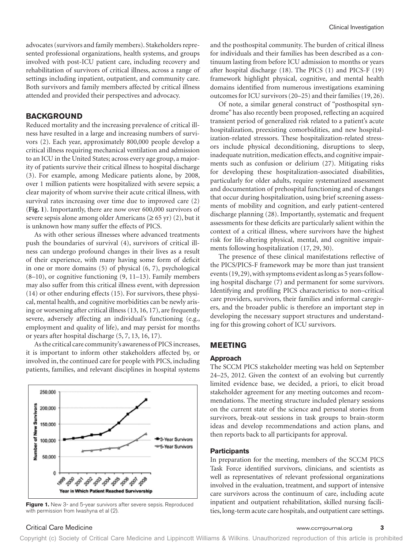advocates (survivors and family members). Stakeholders represented professional organizations, health systems, and groups involved with post-ICU patient care, including recovery and rehabilitation of survivors of critical illness, across a range of settings including inpatient, outpatient, and community care. Both survivors and family members affected by critical illness attended and provided their perspectives and advocacy.

# **BACKGROUND**

Reduced mortality and the increasing prevalence of critical illness have resulted in a large and increasing numbers of survivors (2). Each year, approximately 800,000 people develop a critical illness requiring mechanical ventilation and admission to an ICU in the United States; across every age group, a majority of patients survive their critical illness to hospital discharge (3). For example, among Medicare patients alone, by 2008, over 1 million patients were hospitalized with severe sepsis; a clear majority of whom survive their acute critical illness, with survival rates increasing over time due to improved care (2) (**Fig. 1**). Importantly, there are now over 600,000 survivors of severe sepsis alone among older Americans ( $\geq 65$  yr) (2), but it is unknown how many suffer the effects of PICS.

As with other serious illnesses where advanced treatments push the boundaries of survival (4), survivors of critical illness can undergo profound changes in their lives as a result of their experience, with many having some form of deficit in one or more domains (5) of physical (6, 7), psychological (8–10), or cognitive functioning (9, 11–13). Family members may also suffer from this critical illness event, with depression (14) or other enduring effects (15). For survivors, these physical, mental health, and cognitive morbidities can be newly arising or worsening after critical illness (13, 16, 17), are frequently severe, adversely affecting an individual's functioning (e.g., employment and quality of life), and may persist for months or years after hospital discharge (5, 7, 13, 16, 17).

As the critical care community's awareness of PICS increases, it is important to inform other stakeholders affected by, or involved in, the continued care for people with PICS, including patients, families, and relevant disciplines in hospital systems



Figure 1. New 3- and 5-year survivors after severe sepsis. Reproduced with permission from Iwashyna et al (2).

and the posthospital community. The burden of critical illness for individuals and their families has been described as a continuum lasting from before ICU admission to months or years after hospital discharge (18). The PICS (1) and PICS-F (19) framework highlight physical, cognitive, and mental health domains identified from numerous investigations examining outcomes for ICU survivors (20–25) and their families (19, 26).

Of note, a similar general construct of "posthospital syndrome" has also recently been proposed, reflecting an acquired transient period of generalized risk related to a patient's acute hospitalization, preexisting comorbidities, and new hospitalization-related stressors. These hospitalization-related stressors include physical deconditioning, disruptions to sleep, inadequate nutrition, medication effects, and cognitive impairments such as confusion or delirium (27). Mitigating risks for developing these hospitalization-associated disabilities, particularly for older adults, require systematized assessment and documentation of prehospital functioning and of changes that occur during hospitalization, using brief screening assessments of mobility and cognition, and early patient-centered discharge planning (28). Importantly, systematic and frequent assessments for these deficits are particularly salient within the context of a critical illness, where survivors have the highest risk for life-altering physical, mental, and cognitive impairments following hospitalization (17, 29, 30).

The presence of these clinical manifestations reflective of the PICS/PICS-F framework may be more than just transient events (19, 29), with symptoms evident as long as 5 years following hospital discharge (7) and permanent for some survivors. Identifying and profiling PICS characteristics to non–critical care providers, survivors, their families and informal caregivers, and the broader public is therefore an important step in developing the necessary support structures and understanding for this growing cohort of ICU survivors.

# **MEETING**

### **Approach**

The SCCM PICS stakeholder meeting was held on September 24–25, 2012. Given the context of an evolving but currently limited evidence base, we decided, a priori, to elicit broad stakeholder agreement for any meeting outcomes and recommendations. The meeting structure included plenary sessions on the current state of the science and personal stories from survivors, break-out sessions in task groups to brain-storm ideas and develop recommendations and action plans, and then reports back to all participants for approval.

# **Participants**

In preparation for the meeting, members of the SCCM PICS Task Force identified survivors, clinicians, and scientists as well as representatives of relevant professional organizations involved in the evaluation, treatment, and support of intensive care survivors across the continuum of care, including acute inpatient and outpatient rehabilitation, skilled nursing facilities, long-term acute care hospitals, and outpatient care settings.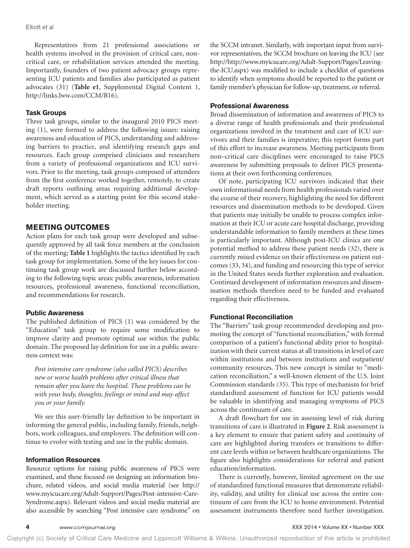Representatives from 21 professional associations or health systems involved in the provision of critical care, noncritical care, or rehabilitation services attended the meeting. Importantly, founders of two patient advocacy groups representing ICU patients and families also participated as patient advocates (31) (**Table e1**, Supplemental Digital Content 1, <http://links.lww.com/CCM/B16>).

### **Task Groups**

Three task groups, similar to the inaugural 2010 PICS meeting (1), were formed to address the following issues: raising awareness and education of PICS, understanding and addressing barriers to practice, and identifying research gaps and resources. Each group comprised clinicians and researchers from a variety of professional organizations and ICU survivors. Prior to the meeting, task groups composed of attendees from the first conference worked together, remotely, to create draft reports outlining areas requiring additional development, which served as a starting point for this second stakeholder meeting.

# **MEETING OUTCOMES**

Action plans for each task group were developed and subsequently approved by all task force members at the conclusion of the meeting; **Table 1** highlights the tactics identified by each task group for implementation. Some of the key issues for continuing task group work are discussed further below according to the following topic areas: public awareness, information resources, professional awareness, functional reconciliation, and recommendations for research.

# **Public Awareness**

The published definition of PICS (1) was considered by the "Education" task group to require some modification to improve clarity and promote optimal use within the public domain. The proposed lay definition for use in a public awareness context was:

*Post intensive care syndrome (also called PICS) describes new or worse health problems after critical illness that remain after you leave the hospital. These problems can be with your body, thoughts, feelings or mind and may affect you or your family.*

We see this user-friendly lay definition to be important in informing the general public, including family, friends, neighbors, work colleagues, and employers. The definition will continue to evolve with testing and use in the public domain.

# **Information Resources**

Resource options for raising public awareness of PICS were examined, and these focused on designing an information brochure, related videos, and social media material (see [http://](http://www.myicucare.org/Adult-Support/Pages/Post-intensive-Care-Syndrome.aspx) [www.myicucare.org/Adult-Support/Pages/Post-intensive-Care-](http://www.myicucare.org/Adult-Support/Pages/Post-intensive-Care-Syndrome.aspx)[Syndrome.aspx](http://www.myicucare.org/Adult-Support/Pages/Post-intensive-Care-Syndrome.aspx)). Relevant videos and social media material are also accessible by searching "Post intensive care syndrome" on

the SCCM intranet. Similarly, with important input from survivor representatives, the SCCM brochure on leaving the ICU (see [http://http://www.myicucare.org/Adult-Support/Pages/Leaving](http://http://www.myicucare.org/Adult-Support/Pages/Leaving-the-ICU.aspx)[the-ICU.aspx\)](http://http://www.myicucare.org/Adult-Support/Pages/Leaving-the-ICU.aspx) was modified to include a checklist of questions to identify when symptoms should be reported to the patient or family member's physician for follow-up, treatment, or referral.

#### **Professional Awareness**

Broad dissemination of information and awareness of PICS to a diverse range of health professionals and their professional organizations involved in the treatment and care of ICU survivors and their families is imperative; this report forms part of this effort to increase awareness. Meeting participants from non–critical care disciplines were encouraged to raise PICS awareness by submitting proposals to deliver PICS presentations at their own forthcoming conferences.

Of note, participating ICU survivors indicated that their own informational needs from health professionals varied over the course of their recovery, highlighting the need for different resources and dissemination methods to be developed. Given that patients may initially be unable to process complex information at their ICU or acute care hospital discharge, providing understandable information to family members at these times is particularly important. Although post-ICU clinics are one potential method to address these patient needs (32), there is currently mixed evidence on their effectiveness on patient outcomes (33, 34), and funding and resourcing this type of service in the United States needs further exploration and evaluation. Continued development of information resources and dissemination methods therefore need to be funded and evaluated regarding their effectiveness.

#### **Functional Reconciliation**

The "Barriers" task group recommended developing and promoting the concept of "functional reconciliation," with formal comparison of a patient's functional ability prior to hospitalization with their current status at all transitions in level of care within institutions and between institutions and outpatient/ community resources. This new concept is similar to "medication reconciliation," a well-known element of the U.S. Joint Commission standards (35). This type of mechanism for brief standardized assessment of function for ICU patients would be valuable in identifying and managing symptoms of PICS across the continuum of care.

A draft flowchart for use in assessing level of risk during transitions of care is illustrated in **Figure 2**. Risk assessment is a key element to ensure that patient safety and continuity of care are highlighted during transfers or transitions to different care levels within or between healthcare organizations. The figure also highlights considerations for referral and patient education/information.

There is currently, however, limited agreement on the use of standardized functional measures that demonstrate reliability, validity, and utility for clinical use across the entire continuum of care from the ICU to home environment. Potential assessment instruments therefore need further investigation.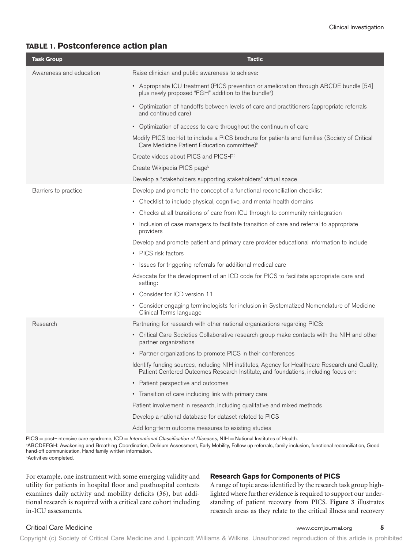# **Table 1. Postconference action plan**

| <b>Task Group</b>       | <b>Tactic</b>                                                                                                                                                                         |
|-------------------------|---------------------------------------------------------------------------------------------------------------------------------------------------------------------------------------|
| Awareness and education | Raise clinician and public awareness to achieve:                                                                                                                                      |
|                         | • Appropriate ICU treatment (PICS prevention or amelioration through ABCDE bundle [54]<br>plus newly proposed "FGH" addition to the bundle <sup>a</sup> )                             |
|                         | • Optimization of handoffs between levels of care and practitioners (appropriate referrals<br>and continued care)                                                                     |
|                         | • Optimization of access to care throughout the continuum of care                                                                                                                     |
|                         | Modify PICS tool-kit to include a PICS brochure for patients and families (Society of Critical<br>Care Medicine Patient Education committee) <sup>b</sup>                             |
|                         | Create videos about PICS and PICS-F <sup>b</sup>                                                                                                                                      |
|                         | Create Wikipedia PICS page <sup>b</sup>                                                                                                                                               |
|                         | Develop a "stakeholders supporting stakeholders" virtual space                                                                                                                        |
| Barriers to practice    | Develop and promote the concept of a functional reconciliation checklist                                                                                                              |
|                         | • Checklist to include physical, cognitive, and mental health domains                                                                                                                 |
|                         | • Checks at all transitions of care from ICU through to community reintegration                                                                                                       |
|                         | • Inclusion of case managers to facilitate transition of care and referral to appropriate<br>providers                                                                                |
|                         | Develop and promote patient and primary care provider educational information to include                                                                                              |
|                         | • PICS risk factors                                                                                                                                                                   |
|                         | • Issues for triggering referrals for additional medical care                                                                                                                         |
|                         | Advocate for the development of an ICD code for PICS to facilitate appropriate care and<br>setting:                                                                                   |
|                         | • Consider for ICD version 11                                                                                                                                                         |
|                         | • Consider engaging terminologists for inclusion in Systematized Nomenclature of Medicine<br>Clinical Terms language                                                                  |
| Research                | Partnering for research with other national organizations regarding PICS:                                                                                                             |
|                         | • Critical Care Societies Collaborative research group make contacts with the NIH and other<br>partner organizations                                                                  |
|                         | • Partner organizations to promote PICS in their conferences                                                                                                                          |
|                         | Identify funding sources, including NIH institutes, Agency for Healthcare Research and Quality,<br>Patient Centered Outcomes Research Institute, and foundations, including focus on: |
|                         | • Patient perspective and outcomes                                                                                                                                                    |
|                         | • Transition of care including link with primary care                                                                                                                                 |
|                         | Patient involvement in research, including qualitative and mixed methods                                                                                                              |
|                         | Develop a national database for dataset related to PICS                                                                                                                               |
|                         | Add long-term outcome measures to existing studies                                                                                                                                    |

PICS = post–intensive care syndrome, ICD = *International Classification of Diseases*, NIH = National Institutes of Health.

a ABCDEFGH: Awakening and Breathing Coordination, Delirium Assessment, Early Mobility, Follow up referrals, family inclusion, functional reconciliation, Good hand-off communication, Hand family written information.

b Activities completed.

For example, one instrument with some emerging validity and utility for patients in hospital floor and posthospital contexts examines daily activity and mobility deficits (36), but additional research is required with a critical care cohort including in-ICU assessments.

# **Research Gaps for Components of PICS**

A range of topic areas identified by the research task group highlighted where further evidence is required to support our understanding of patient recovery from PICS. **Figure 3** illustrates research areas as they relate to the critical illness and recovery

### Critical Care Medicine www.ccmjournal.org **5**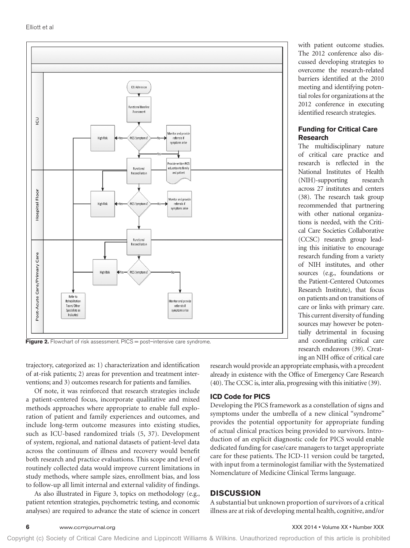

Figure 2. Flowchart of risk assessment. PICS = post-intensive care syndrome.

trajectory, categorized as: 1) characterization and identification of at-risk patients; 2) areas for prevention and treatment interventions; and 3) outcomes research for patients and families.

Of note, it was reinforced that research strategies include a patient-centered focus, incorporate qualitative and mixed methods approaches where appropriate to enable full exploration of patient and family experiences and outcomes, and include long-term outcome measures into existing studies, such as ICU-based randomized trials (5, 37). Development of system, regional, and national datasets of patient-level data across the continuum of illness and recovery would benefit both research and practice evaluations. This scope and level of routinely collected data would improve current limitations in study methods, where sample sizes, enrollment bias, and loss to follow-up all limit internal and external validity of findings.

As also illustrated in Figure 3, topics on methodology (e.g., patient retention strategies, psychometric testing, and economic analyses) are required to advance the state of science in concert

with patient outcome studies. The 2012 conference also discussed developing strategies to overcome the research-related barriers identified at the 2010 meeting and identifying potential roles for organizations at the 2012 conference in executing identified research strategies.

# **Funding for Critical Care Research**

The multidisciplinary nature of critical care practice and research is reflected in the National Institutes of Health (NIH)-supporting research across 27 institutes and centers (38). The research task group recommended that partnering with other national organizations is needed, with the Critical Care Societies Collaborative (CCSC) research group leading this initiative to encourage research funding from a variety of NIH institutes, and other sources (e.g., foundations or the Patient-Centered Outcomes Research Institute), that focus on patients and on transitions of care or links with primary care. This current diversity of funding sources may however be potentially detrimental in focusing and coordinating critical care research endeavors (39). Creating an NIH office of critical care

research would provide an appropriate emphasis, with a precedent already in existence with the Office of Emergency Care Research (40). The CCSC is, inter alia, progressing with this initiative (39).

# **ICD Code for PICS**

Developing the PICS framework as a constellation of signs and symptoms under the umbrella of a new clinical "syndrome" provides the potential opportunity for appropriate funding of actual clinical practices being provided to survivors. Introduction of an explicit diagnostic code for PICS would enable dedicated funding for case/care managers to target appropriate care for these patients. The ICD-11 version could be targeted, with input from a terminologist familiar with the Systematized Nomenclature of Medicine Clinical Terms language.

# **DISCUSSION**

A substantial but unknown proportion of survivors of a critical illness are at risk of developing mental health, cognitive, and/or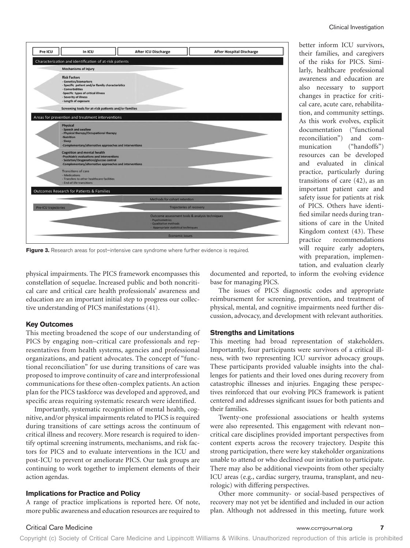

**Figure 3.** Research areas for post–intensive care syndrome where further evidence is required.

physical impairments. The PICS framework encompasses this constellation of sequelae. Increased public and both noncritical care and critical care health professionals' awareness and education are an important initial step to progress our collective understanding of PICS manifestations (41).

#### **Key Outcomes**

This meeting broadened the scope of our understanding of PICS by engaging non–critical care professionals and representatives from health systems, agencies and professional organizations, and patient advocates. The concept of "functional reconciliation" for use during transitions of care was proposed to improve continuity of care and interprofessional communications for these often-complex patients. An action plan for the PICS taskforce was developed and approved, and specific areas requiring systematic research were identified.

Importantly, systematic recognition of mental health, cognitive, and/or physical impairments related to PICS is required during transitions of care settings across the continuum of critical illness and recovery. More research is required to identify optimal screening instruments, mechanisms, and risk factors for PICS and to evaluate interventions in the ICU and post-ICU to prevent or ameliorate PICS. Our task groups are continuing to work together to implement elements of their action agendas.

### **Implications for Practice and Policy**

A range of practice implications is reported here. Of note, more public awareness and education resources are required to

documented and reported, to inform the evolving evidence base for managing PICS.

The issues of PICS diagnostic codes and appropriate reimbursement for screening, prevention, and treatment of physical, mental, and cognitive impairments need further discussion, advocacy, and development with relevant authorities.

#### **Strengths and Limitations**

This meeting had broad representation of stakeholders. Importantly, four participants were survivors of a critical illness, with two representing ICU survivor advocacy groups. These participants provided valuable insights into the challenges for patients and their loved ones during recovery from catastrophic illnesses and injuries. Engaging these perspectives reinforced that our evolving PICS framework is patient centered and addresses significant issues for both patients and their families.

Twenty-one professional associations or health systems were also represented. This engagement with relevant non– critical care disciplines provided important perspectives from content experts across the recovery trajectory. Despite this strong participation, there were key stakeholder organizations unable to attend or who declined our invitation to participate. There may also be additional viewpoints from other specialty ICU areas (e.g., cardiac surgery, trauma, transplant, and neurologic) with differing perspectives.

Other more community- or social-based perspectives of recovery may not yet be identified and included in our action plan. Although not addressed in this meeting, future work

better inform ICU survivors, their families, and caregivers of the risks for PICS. Similarly, healthcare professional awareness and education are

also necessary to support changes in practice for critical care, acute care, rehabilitation, and community settings. As this work evolves, explicit documentation ("functional reconciliation") and communication ("handoffs") resources can be developed and evaluated in clinical practice, particularly during transitions of care (42), as an important patient care and safety issue for patients at risk of PICS. Others have identified similar needs during transitions of care in the United Kingdom context (43). These practice recommendations will require early adopters, with preparation, implemen-

tation, and evaluation clearly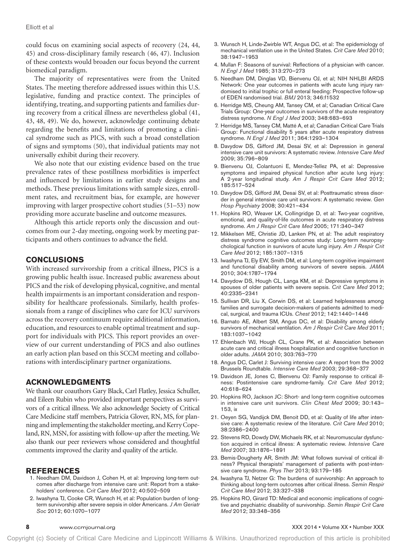could focus on examining social aspects of recovery (24, 44, 45) and cross-disciplinary family research (46, 47). Inclusion of these contexts would broaden our focus beyond the current biomedical paradigm.

The majority of representatives were from the United States. The meeting therefore addressed issues within this U.S. legislative, funding and practice context. The principles of identifying, treating, and supporting patients and families during recovery from a critical illness are nevertheless global (41, 43, 48, 49). We do, however, acknowledge continuing debate regarding the benefits and limitations of promoting a clinical syndrome such as PICS, with such a broad constellation of signs and symptoms (50), that individual patients may not universally exhibit during their recovery.

We also note that our existing evidence based on the true prevalence rates of these postillness morbidities is imperfect and influenced by limitations in earlier study designs and methods. These previous limitations with sample sizes, enrollment rates, and recruitment bias, for example, are however improving with larger prospective cohort studies (51–53) now providing more accurate baseline and outcome measures.

Although this article reports only the discussion and outcomes from our 2-day meeting, ongoing work by meeting participants and others continues to advance the field.

# **CONCLUSIONS**

With increased survivorship from a critical illness, PICS is a growing public health issue. Increased public awareness about PICS and the risk of developing physical, cognitive, and mental health impairments is an important consideration and responsibility for healthcare professionals. Similarly, health professionals from a range of disciplines who care for ICU survivors across the recovery continuum require additional information, education, and resources to enable optimal treatment and support for individuals with PICS. This report provides an overview of our current understanding of PICS and also outlines an early action plan based on this SCCM meeting and collaborations with interdisciplinary partner organizations.

# **ACKNOWLEDGMENTS**

We thank our coauthors Gary Black, Carl Flatley, Jessica Schuller, and Eileen Rubin who provided important perspectives as survivors of a critical illness. We also acknowledge Society of Critical Care Medicine staff members, Patricia Glover, RN, MS, for planning and implementing the stakeholder meeting, and Kerry Copeland, RN, MSN, for assisting with follow-up after the meeting. We also thank our peer reviewers whose considered and thoughtful comments improved the clarity and quality of the article.

#### **REFERENCES**

- 1. Needham DM, Davidson J, Cohen H, et al: Improving long-term outcomes after discharge from intensive care unit: Report from a stakeholders' conference. *Crit Care Med* 2012; 40:502–509
- 2. Iwashyna TJ, Cooke CR, Wunsch H, et al: Population burden of longterm survivorship after severe sepsis in older Americans. *J Am Geriatr Soc* 2012; 60:1070–1077
- 3. Wunsch H, Linde-Zwirble WT, Angus DC, et al: The epidemiology of mechanical ventilation use in the United States. *Crit Care Med* 2010; 38:1947–1953
- 4. Mullan F: Seasons of survival: Reflections of a physician with cancer. *N Engl J Med* 1985; 313:270–273
- 5. Needham DM, Dinglas VD, Bienvenu OJ, et al; NIH NHLBI ARDS Network: One year outcomes in patients with acute lung injury randomised to initial trophic or full enteral feeding: Prospective follow-up of EDEN randomised trial. *BMJ* 2013; 346:f1532
- 6. Herridge MS, Cheung AM, Tansey CM, et al; Canadian Critical Care Trials Group: One-year outcomes in survivors of the acute respiratory distress syndrome. *N Engl J Med* 2003; 348:683–693
- 7. Herridge MS, Tansey CM, Matté A, et al; Canadian Critical Care Trials Group: Functional disability 5 years after acute respiratory distress syndrome. *N Engl J Med* 2011; 364:1293–1304
- 8. Davydow DS, Gifford JM, Desai SV, et al: Depression in general intensive care unit survivors: A systematic review. *Intensive Care Med* 2009; 35:796–809
- 9. Bienvenu OJ, Colantuoni E, Mendez-Tellez PA, et al: Depressive symptoms and impaired physical function after acute lung injury: A 2-year longitudinal study. *Am J Respir Crit Care Med* 2012; 185:517–524
- 10. Davydow DS, Gifford JM, Desai SV, et al: Posttraumatic stress disorder in general intensive care unit survivors: A systematic review. *Gen Hosp Psychiatry* 2008; 30:421–434
- 11. Hopkins RO, Weaver LK, Collingridge D, et al: Two-year cognitive, emotional, and quality-of-life outcomes in acute respiratory distress syndrome. *Am J Respir Crit Care Med* 2005; 171:340–347
- 12. Mikkelsen ME, Christie JD, Lanken PN, et al: The adult respiratory distress syndrome cognitive outcomes study: Long-term neuropsychological function in survivors of acute lung injury. *Am J Respir Crit Care Med* 2012; 185:1307–1315
- 13. Iwashyna TJ, Ely EW, Smith DM, et al: Long-term cognitive impairment and functional disability among survivors of severe sepsis. *JAMA* 2010; 304:1787–1794
- 14. Davydow DS, Hough CL, Langa KM, et al: Depressive symptoms in spouses of older patients with severe sepsis. *Crit Care Med* 2012; 40:2335–2341
- 15. Sullivan DR, Liu X, Corwin DS, et al: Learned helplessness among families and surrogate decision-makers of patients admitted to medical, surgical, and trauma ICUs. *Chest* 2012; 142:1440–1446
- 16. Barnato AE, Albert SM, Angus DC, et al: Disability among elderly survivors of mechanical ventilation. *Am J Respir Crit Care Med* 2011; 183:1037–1042
- 17. Ehlenbach WJ, Hough CL, Crane PK, et al: Association between acute care and critical illness hospitalization and cognitive function in older adults. *JAMA* 2010; 303:763–770
- 18. Angus DC, Carlet J: Surviving intensive care: A report from the 2002 Brussels Roundtable. *Intensive Care Med* 2003; 29:368–377
- 19. Davidson JE, Jones C, Bienvenu OJ: Family response to critical illness: Postintensive care syndrome-family. *Crit Care Med* 2012; 40:618–624
- 20. Hopkins RO, Jackson JC: Short- and long-term cognitive outcomes in intensive care unit survivors. *Clin Chest Med* 2009; 30:143– 153, ix
- 21. Oeyen SG, Vandijck DM, Benoit DD, et al: Quality of life after intensive care: A systematic review of the literature. *Crit Care Med* 2010; 38:2386–2400
- 22. Stevens RD, Dowdy DW, Michaels RK, et al: Neuromuscular dysfunction acquired in critical illness: A systematic review. *Intensive Care Med* 2007; 33:1876–1891
- 23. Bemis-Dougherty AR, Smith JM: What follows survival of critical illness? Physical therapists' management of patients with post-intensive care syndrome. *Phys Ther* 2013; 93:179–185
- 24. Iwashyna TJ, Netzer G: The burdens of survivorship: An approach to thinking about long-term outcomes after critical illness. *Semin Respir Crit Care Med* 2012; 33:327–338
- 25. Hopkins RO, Girard TD: Medical and economic implications of cognitive and psychiatric disability of survivorship. *Semin Respir Crit Care Med* 2012; 33:348–356

#### **8** Www.ccmjournal.org XXX **0014 • Volume XX • Number XXX** • Number XXX • Number XXX • Number XXX • Number XXX